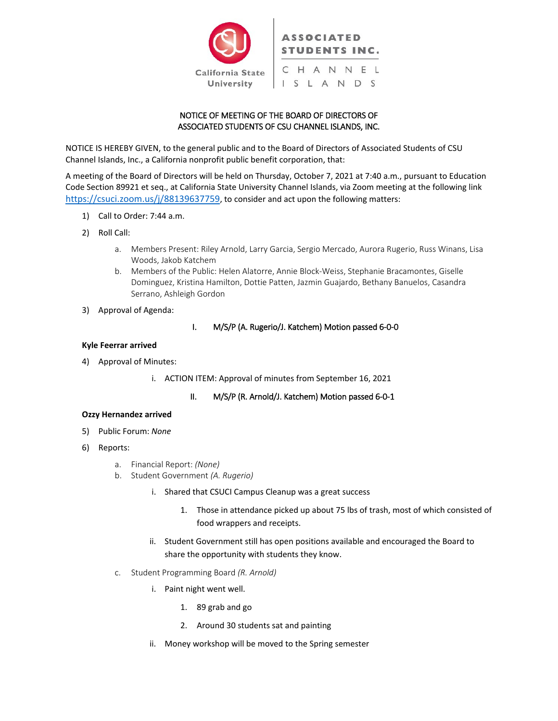

# NOTICE OF MEETING OF THE BOARD OF DIRECTORS OF ASSOCIATED STUDENTS OF CSU CHANNEL ISLANDS, INC.

NOTICE IS HEREBY GIVEN, to the general public and to the Board of Directors of Associated Students of CSU Channel Islands, Inc., a California nonprofit public benefit corporation, that:

A meeting of the Board of Directors will be held on Thursday, October 7, 2021 at 7:40 a.m., pursuant to Education Code Section 89921 et seq., at California State University Channel Islands, via Zoom meeting at the following link [https://csuci.zoom.us/j/88139637759,](https://csuci.zoom.us/j/88139637759) to consider and act upon the following matters:

- 1) Call to Order: 7:44 a.m.
- 2) Roll Call:
	- a. Members Present: Riley Arnold, Larry Garcia, Sergio Mercado, Aurora Rugerio, Russ Winans, Lisa Woods, Jakob Katchem
	- b. Members of the Public: Helen Alatorre, Annie Block-Weiss, Stephanie Bracamontes, Giselle Dominguez, Kristina Hamilton, Dottie Patten, Jazmin Guajardo, Bethany Banuelos, Casandra Serrano, Ashleigh Gordon
- 3) Approval of Agenda:

# I. M/S/P (A. Rugerio/J. Katchem) Motion passed 6-0-0

#### **Kyle Feerrar arrived**

- 4) Approval of Minutes:
	- i. ACTION ITEM: Approval of minutes from September 16, 2021

# II. M/S/P (R. Arnold/J. Katchem) Motion passed 6-0-1

#### **Ozzy Hernandez arrived**

- 5) Public Forum: *None*
- 6) Reports:
	- a. Financial Report: *(None)*
	- b. Student Government *(A. Rugerio)*
		- i. Shared that CSUCI Campus Cleanup was a great success
			- 1. Those in attendance picked up about 75 lbs of trash, most of which consisted of food wrappers and receipts.
		- ii. Student Government still has open positions available and encouraged the Board to share the opportunity with students they know.
	- c. Student Programming Board *(R. Arnold)*
		- i. Paint night went well.
			- 1. 89 grab and go
			- 2. Around 30 students sat and painting
		- ii. Money workshop will be moved to the Spring semester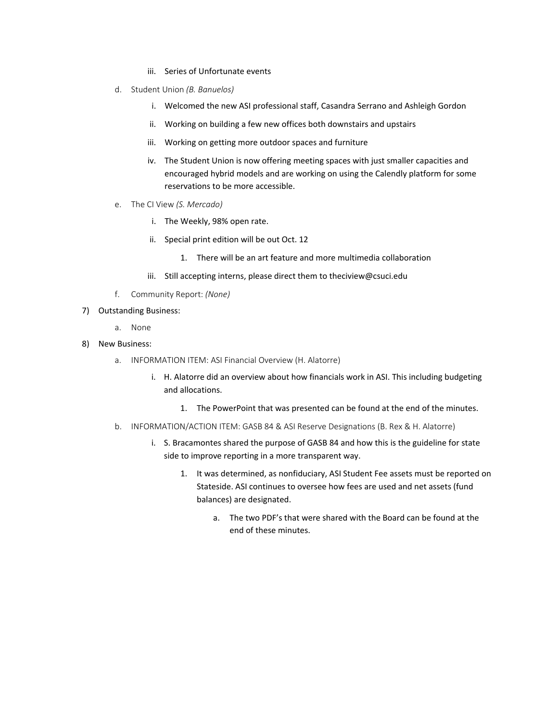- iii. Series of Unfortunate events
- d. Student Union *(B. Banuelos)*
	- i. Welcomed the new ASI professional staff, Casandra Serrano and Ashleigh Gordon
	- ii. Working on building a few new offices both downstairs and upstairs
	- iii. Working on getting more outdoor spaces and furniture
	- iv. The Student Union is now offering meeting spaces with just smaller capacities and encouraged hybrid models and are working on using the Calendly platform for some reservations to be more accessible.
- e. The CI View *(S. Mercado)* 
	- i. The Weekly, 98% open rate.
	- ii. Special print edition will be out Oct. 12
		- 1. There will be an art feature and more multimedia collaboration
	- iii. Still accepting interns, please direct them to theciview@csuci.edu
- f. Community Report: *(None)*
- 7) Outstanding Business:
	- a. None
- 8) New Business:
	- a. INFORMATION ITEM: ASI Financial Overview (H. Alatorre)
		- i. H. Alatorre did an overview about how financials work in ASI. This including budgeting and allocations.
			- 1. The PowerPoint that was presented can be found at the end of the minutes.
	- b. INFORMATION/ACTION ITEM: GASB 84 & ASI Reserve Designations (B. Rex & H. Alatorre)
		- i. S. Bracamontes shared the purpose of GASB 84 and how this is the guideline for state side to improve reporting in a more transparent way.
			- 1. It was determined, as nonfiduciary, ASI Student Fee assets must be reported on Stateside. ASI continues to oversee how fees are used and net assets (fund balances) are designated.
				- a. The two PDF's that were shared with the Board can be found at the end of these minutes.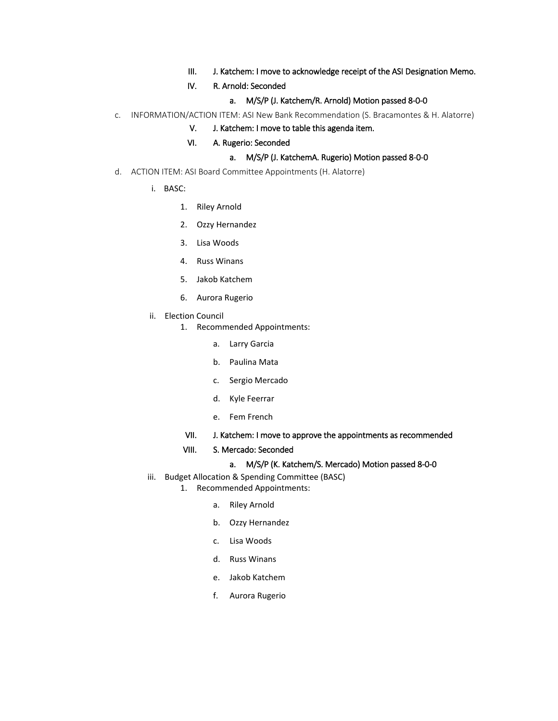- III. J. Katchem: I move to acknowledge receipt of the ASI Designation Memo.
- IV. R. Arnold: Seconded
	- a. M/S/P (J. Katchem/R. Arnold) Motion passed 8-0-0
- c. INFORMATION/ACTION ITEM: ASI New Bank Recommendation (S. Bracamontes & H. Alatorre)
	- V. J. Katchem: I move to table this agenda item.
	- VI. A. Rugerio: Seconded
		- a. M/S/P (J. KatchemA. Rugerio) Motion passed 8-0-0
- d. ACTION ITEM: ASI Board Committee Appointments (H. Alatorre)
	- i. BASC:
		- 1. Riley Arnold
		- 2. Ozzy Hernandez
		- 3. Lisa Woods
		- 4. Russ Winans
		- 5. Jakob Katchem
		- 6. Aurora Rugerio
	- ii. Election Council
		- 1. Recommended Appointments:
			- a. Larry Garcia
			- b. Paulina Mata
			- c. Sergio Mercado
			- d. Kyle Feerrar
			- e. Fem French
			- VII. J. Katchem: I move to approve the appointments as recommended
			- VIII. S. Mercado: Seconded

#### a. M/S/P (K. Katchem/S. Mercado) Motion passed 8-0-0

- iii. Budget Allocation & Spending Committee (BASC)
	- 1. Recommended Appointments:
		- a. Riley Arnold
		- b. Ozzy Hernandez
		- c. Lisa Woods
		- d. Russ Winans
		- e. Jakob Katchem
		- f. Aurora Rugerio